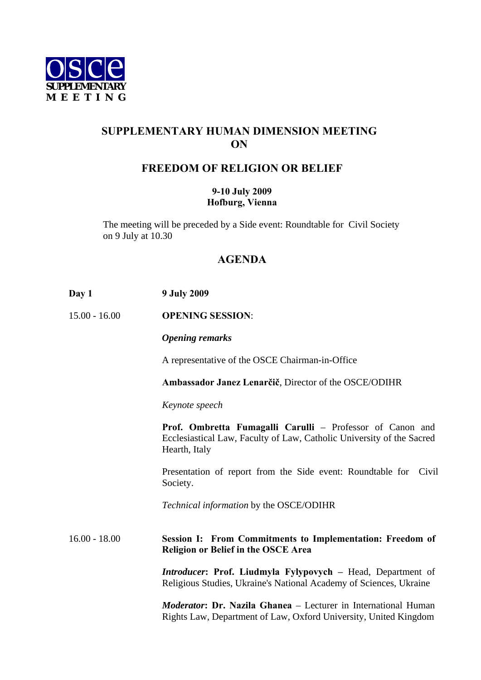

## **SUPPLEMENTARY HUMAN DIMENSION MEETING ON**

## **FREEDOM OF RELIGION OR BELIEF**

## **9-10 July 2009 Hofburg, Vienna**

The meeting will be preceded by a Side event: Roundtable for Civil Society on 9 July at 10.30

## **AGENDA**

| Day 1           | <b>9 July 2009</b>                                                                                                                                  |
|-----------------|-----------------------------------------------------------------------------------------------------------------------------------------------------|
| $15.00 - 16.00$ | <b>OPENING SESSION:</b>                                                                                                                             |
|                 | <b>Opening remarks</b>                                                                                                                              |
|                 | A representative of the OSCE Chairman-in-Office                                                                                                     |
|                 | Ambassador Janez Lenarčič, Director of the OSCE/ODIHR                                                                                               |
|                 | Keynote speech                                                                                                                                      |
|                 | Prof. Ombretta Fumagalli Carulli - Professor of Canon and<br>Ecclesiastical Law, Faculty of Law, Catholic University of the Sacred<br>Hearth, Italy |
|                 | Presentation of report from the Side event: Roundtable for Civil<br>Society.                                                                        |
|                 | Technical information by the OSCE/ODIHR                                                                                                             |
| $16.00 - 18.00$ | Session I: From Commitments to Implementation: Freedom of<br><b>Religion or Belief in the OSCE Area</b>                                             |
|                 | <b>Introducer: Prof. Liudmyla Fylypovych - Head, Department of</b><br>Religious Studies, Ukraine's National Academy of Sciences, Ukraine            |
|                 | <i>Moderator</i> : Dr. Nazila Ghanea - Lecturer in International Human<br>Rights Law, Department of Law, Oxford University, United Kingdom          |